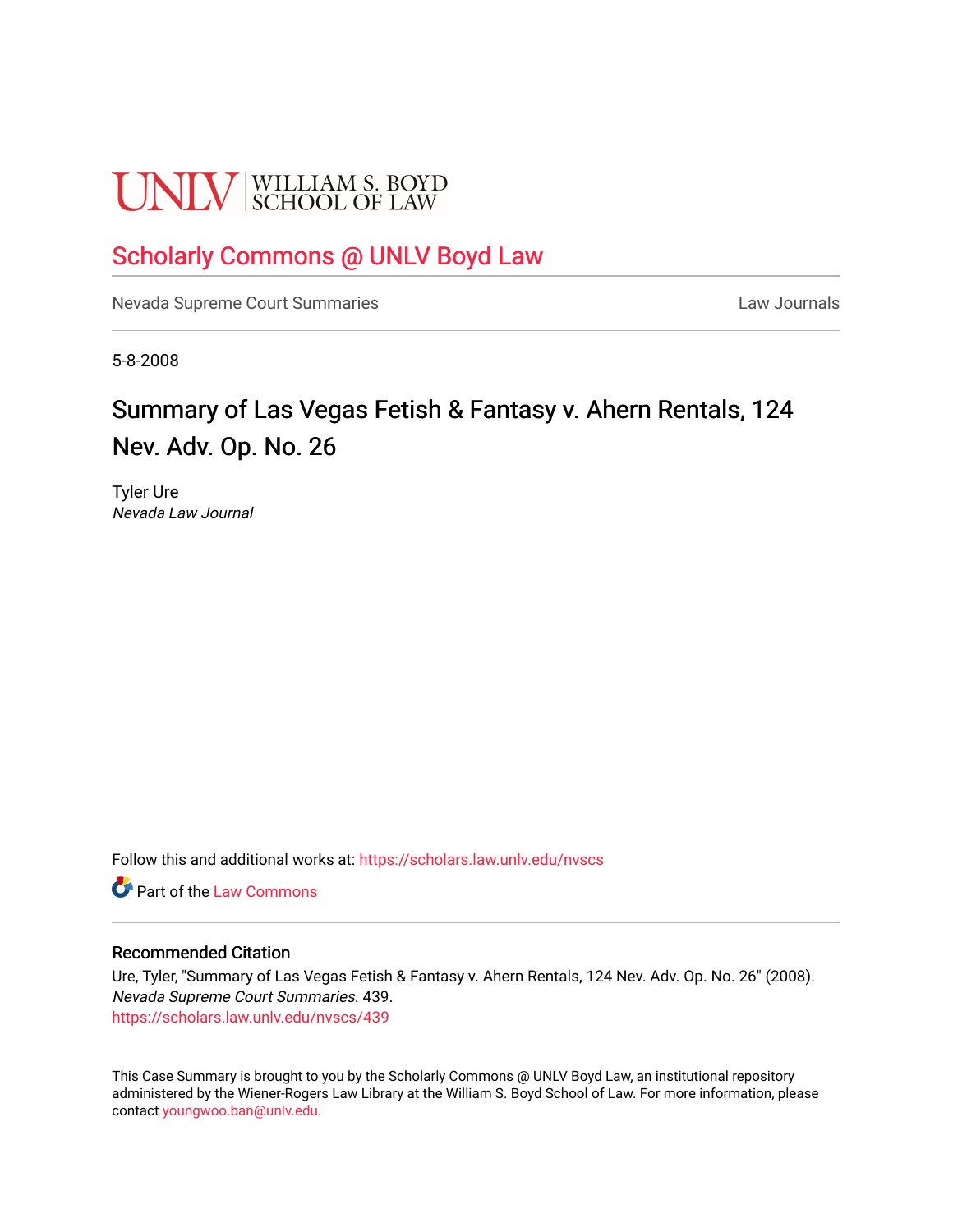# **UNLV** SCHOOL OF LAW

## [Scholarly Commons @ UNLV Boyd Law](https://scholars.law.unlv.edu/)

[Nevada Supreme Court Summaries](https://scholars.law.unlv.edu/nvscs) **Law Journals** Law Journals

5-8-2008

# Summary of Las Vegas Fetish & Fantasy v. Ahern Rentals, 124 Nev. Adv. Op. No. 26

Tyler Ure Nevada Law Journal

Follow this and additional works at: [https://scholars.law.unlv.edu/nvscs](https://scholars.law.unlv.edu/nvscs?utm_source=scholars.law.unlv.edu%2Fnvscs%2F439&utm_medium=PDF&utm_campaign=PDFCoverPages)

**C** Part of the [Law Commons](http://network.bepress.com/hgg/discipline/578?utm_source=scholars.law.unlv.edu%2Fnvscs%2F439&utm_medium=PDF&utm_campaign=PDFCoverPages)

#### Recommended Citation

Ure, Tyler, "Summary of Las Vegas Fetish & Fantasy v. Ahern Rentals, 124 Nev. Adv. Op. No. 26" (2008). Nevada Supreme Court Summaries. 439. [https://scholars.law.unlv.edu/nvscs/439](https://scholars.law.unlv.edu/nvscs/439?utm_source=scholars.law.unlv.edu%2Fnvscs%2F439&utm_medium=PDF&utm_campaign=PDFCoverPages)

This Case Summary is brought to you by the Scholarly Commons @ UNLV Boyd Law, an institutional repository administered by the Wiener-Rogers Law Library at the William S. Boyd School of Law. For more information, please contact [youngwoo.ban@unlv.edu](mailto:youngwoo.ban@unlv.edu).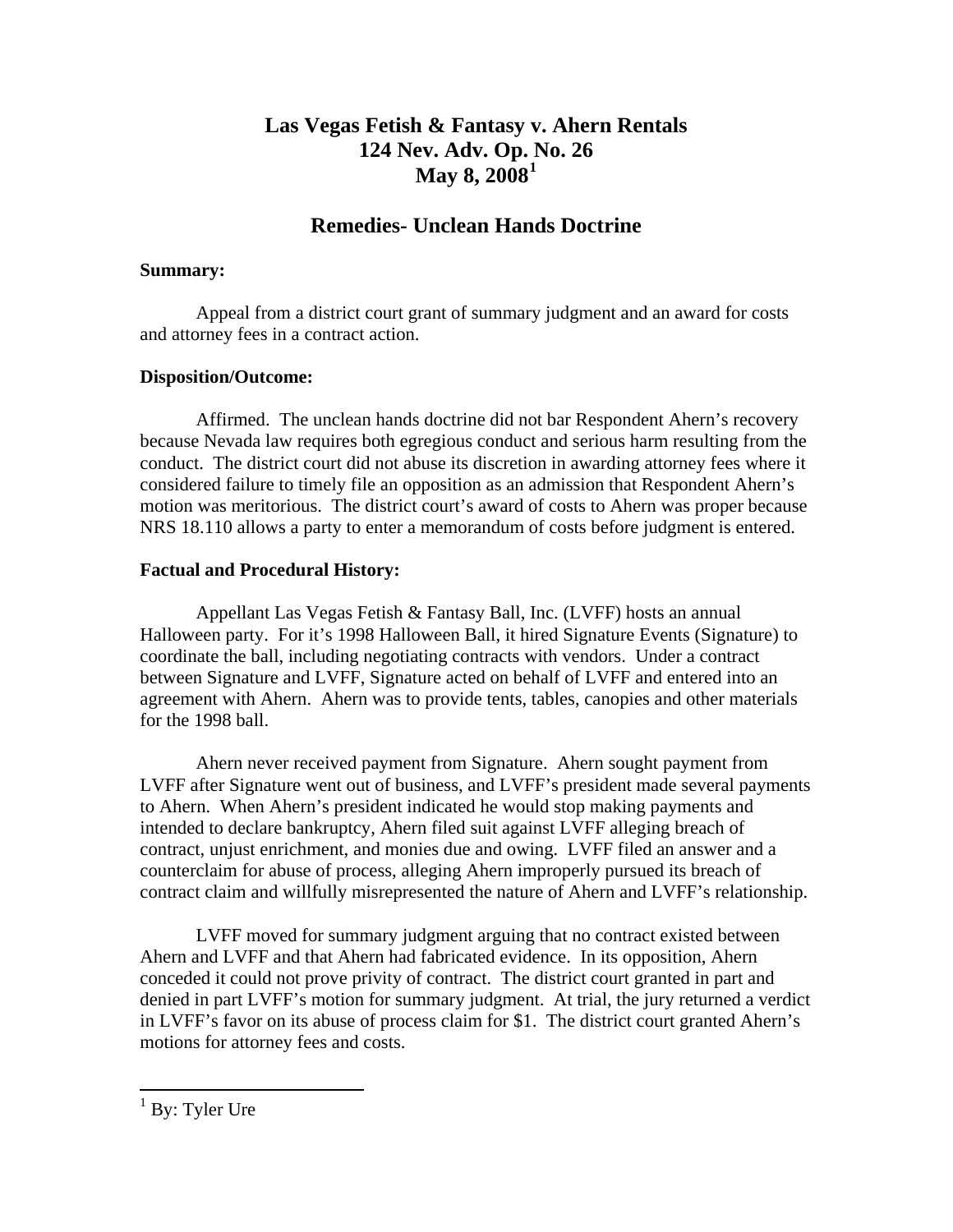## **Las Vegas Fetish & Fantasy v. Ahern Rentals 124 Nev. Adv. Op. [N](#page-1-0)o. 26 May 8, 2008[1](#page-1-0)**

## **Remedies- Unclean Hands Doctrine**

#### **Summary:**

 Appeal from a district court grant of summary judgment and an award for costs and attorney fees in a contract action.

#### **Disposition/Outcome:**

 Affirmed. The unclean hands doctrine did not bar Respondent Ahern's recovery because Nevada law requires both egregious conduct and serious harm resulting from the conduct. The district court did not abuse its discretion in awarding attorney fees where it considered failure to timely file an opposition as an admission that Respondent Ahern's motion was meritorious. The district court's award of costs to Ahern was proper because NRS 18.110 allows a party to enter a memorandum of costs before judgment is entered.

#### **Factual and Procedural History:**

 Appellant Las Vegas Fetish & Fantasy Ball, Inc. (LVFF) hosts an annual Halloween party. For it's 1998 Halloween Ball, it hired Signature Events (Signature) to coordinate the ball, including negotiating contracts with vendors. Under a contract between Signature and LVFF, Signature acted on behalf of LVFF and entered into an agreement with Ahern. Ahern was to provide tents, tables, canopies and other materials for the 1998 ball.

 Ahern never received payment from Signature. Ahern sought payment from LVFF after Signature went out of business, and LVFF's president made several payments to Ahern. When Ahern's president indicated he would stop making payments and intended to declare bankruptcy, Ahern filed suit against LVFF alleging breach of contract, unjust enrichment, and monies due and owing. LVFF filed an answer and a counterclaim for abuse of process, alleging Ahern improperly pursued its breach of contract claim and willfully misrepresented the nature of Ahern and LVFF's relationship.

 LVFF moved for summary judgment arguing that no contract existed between Ahern and LVFF and that Ahern had fabricated evidence. In its opposition, Ahern conceded it could not prove privity of contract. The district court granted in part and denied in part LVFF's motion for summary judgment. At trial, the jury returned a verdict in LVFF's favor on its abuse of process claim for \$1. The district court granted Ahern's motions for attorney fees and costs.

<span id="page-1-0"></span><sup>&</sup>lt;sup>1</sup> By: Tyler Ure